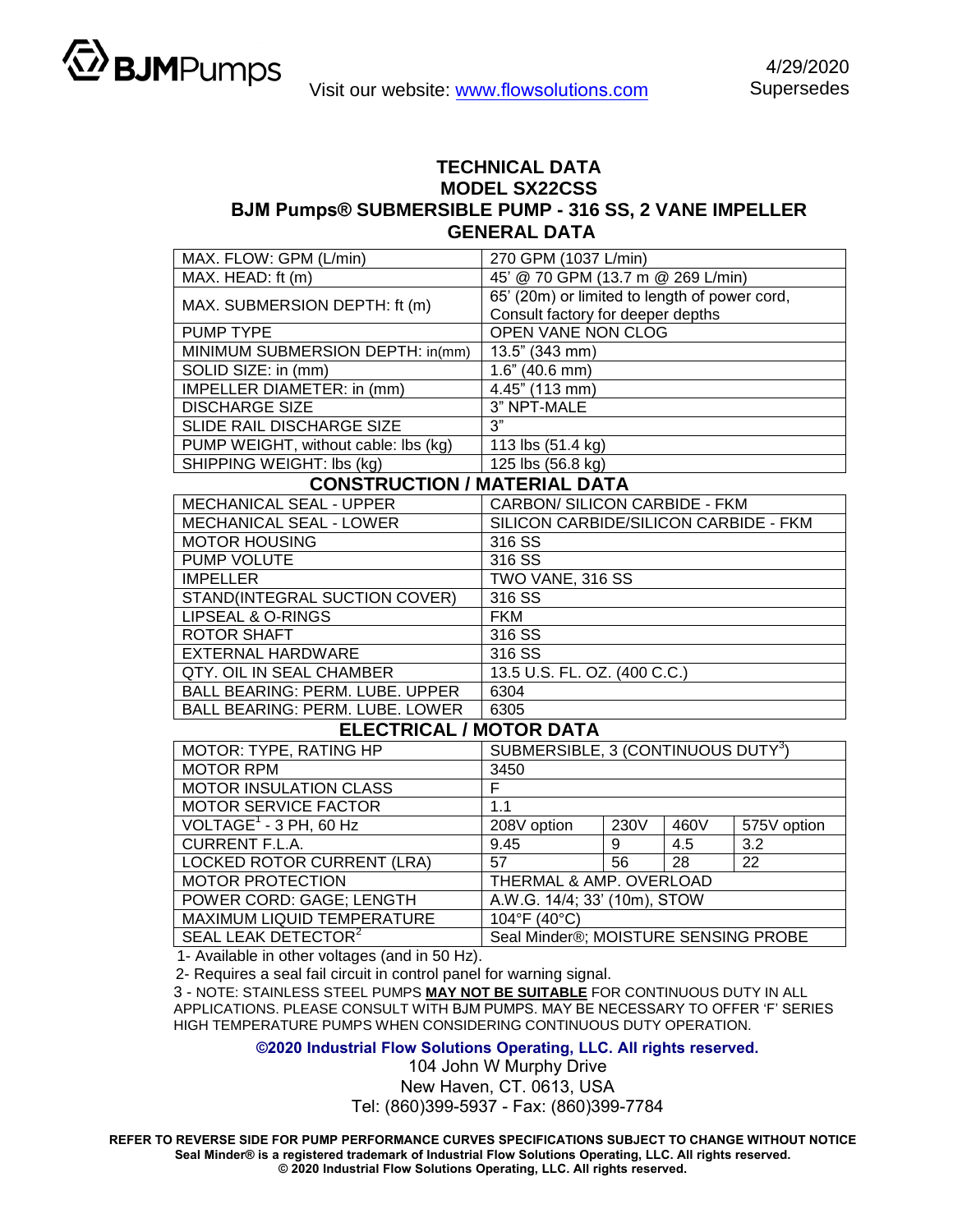

## **TECHNICAL DATA MODEL SX22CSS BJM Pumps® SUBMERSIBLE PUMP - 316 SS, 2 VANE IMPELLER GENERAL DATA**

| MAX. FLOW: GPM (L/min)                 | 270 GPM (1037 L/min)                           |  |  |  |
|----------------------------------------|------------------------------------------------|--|--|--|
| MAX. HEAD: ft (m)                      | 45' @ 70 GPM (13.7 m @ 269 L/min)              |  |  |  |
|                                        | 65' (20m) or limited to length of power cord,  |  |  |  |
| MAX. SUBMERSION DEPTH: ft (m)          | Consult factory for deeper depths              |  |  |  |
| <b>PUMP TYPE</b>                       | <b>OPEN VANE NON CLOG</b>                      |  |  |  |
| MINIMUM SUBMERSION DEPTH: in(mm)       | 13.5" (343 mm)                                 |  |  |  |
| SOLID SIZE: in (mm)                    | 1.6" (40.6 mm)                                 |  |  |  |
| IMPELLER DIAMETER: in (mm)             | 4.45" (113 mm)                                 |  |  |  |
| <b>DISCHARGE SIZE</b>                  | 3" NPT-MALE                                    |  |  |  |
| SLIDE RAIL DISCHARGE SIZE              | 3"                                             |  |  |  |
| PUMP WEIGHT, without cable: lbs (kg)   | 113 lbs (51.4 kg)                              |  |  |  |
| SHIPPING WEIGHT: lbs (kg)              | 125 lbs (56.8 kg)                              |  |  |  |
| <b>CONSTRUCTION / MATERIAL DATA</b>    |                                                |  |  |  |
| MECHANICAL SEAL - UPPER                | CARBON/ SILICON CARBIDE - FKM                  |  |  |  |
| <b>MECHANICAL SEAL - LOWER</b>         | SILICON CARBIDE/SILICON CARBIDE - FKM          |  |  |  |
| <b>MOTOR HOUSING</b>                   | 316 SS                                         |  |  |  |
| <b>PUMP VOLUTE</b>                     | 316 SS                                         |  |  |  |
| <b>IMPELLER</b>                        | TWO VANE, 316 SS                               |  |  |  |
| STAND(INTEGRAL SUCTION COVER)          | 316 SS                                         |  |  |  |
| <b>LIPSEAL &amp; O-RINGS</b>           | <b>FKM</b>                                     |  |  |  |
| <b>ROTOR SHAFT</b>                     | 316 SS                                         |  |  |  |
| <b>EXTERNAL HARDWARE</b>               | 316 SS                                         |  |  |  |
| QTY, OIL IN SEAL CHAMBER               | 13.5 U.S. FL. OZ. (400 C.C.)                   |  |  |  |
| <b>BALL BEARING: PERM. LUBE. UPPER</b> | 6304                                           |  |  |  |
| <b>BALL BEARING: PERM. LUBE. LOWER</b> | 6305                                           |  |  |  |
| <b>ELECTRICAL / MOTOR DATA</b>         |                                                |  |  |  |
| MOTOR: TYPE, RATING HP                 | SUBMERSIBLE, 3 (CONTINUOUS DUTY <sup>3</sup> ) |  |  |  |
| <b>MOTOR RPM</b>                       | 3450                                           |  |  |  |
| MOTOR INSULATION CLASS                 | F                                              |  |  |  |

| <b>MOTOR RPM</b>                   | 3450                                 |      |      |             |  |
|------------------------------------|--------------------------------------|------|------|-------------|--|
| <b>MOTOR INSULATION CLASS</b>      | F                                    |      |      |             |  |
| <b>MOTOR SERVICE FACTOR</b>        | 1.1                                  |      |      |             |  |
| VOLTAGE <sup>1</sup> - 3 PH, 60 Hz | 208V option                          | 230V | 460V | 575V option |  |
| <b>CURRENT F.L.A.</b>              | 9.45                                 | 9    | 4.5  | 3.2         |  |
| LOCKED ROTOR CURRENT (LRA)         | 57                                   | 56   | -28  | 22          |  |
| <b>MOTOR PROTECTION</b>            | THERMAL & AMP. OVERLOAD              |      |      |             |  |
| POWER CORD: GAGE; LENGTH           | A.W.G. 14/4; 33' (10m), STOW         |      |      |             |  |
| MAXIMUM LIQUID TEMPERATURE         | 104°F (40°C)                         |      |      |             |  |
| SEAL LEAK DETECTOR <sup>2</sup>    | Seal Minder®; MOISTURE SENSING PROBE |      |      |             |  |
|                                    |                                      |      |      |             |  |

1- Available in other voltages (and in 50 Hz).

2- Requires a seal fail circuit in control panel for warning signal.

3 - NOTE: STAINLESS STEEL PUMPS **MAY NOT BE SUITABLE** FOR CONTINUOUS DUTY IN ALL APPLICATIONS. PLEASE CONSULT WITH BJM PUMPS. MAY BE NECESSARY TO OFFER 'F' SERIES HIGH TEMPERATURE PUMPS WHEN CONSIDERING CONTINUOUS DUTY OPERATION.

**©2020 Industrial Flow Solutions Operating, LLC. All rights reserved.**

104 John W Murphy Drive New Haven, CT. 0613, USA Tel: (860)399-5937 - Fax: (860)399-7784

**REFER TO REVERSE SIDE FOR PUMP PERFORMANCE CURVES SPECIFICATIONS SUBJECT TO CHANGE WITHOUT NOTICE Seal Minder® is a registered trademark of Industrial Flow Solutions Operating, LLC. All rights reserved. © 2020 Industrial Flow Solutions Operating, LLC. All rights reserved.**